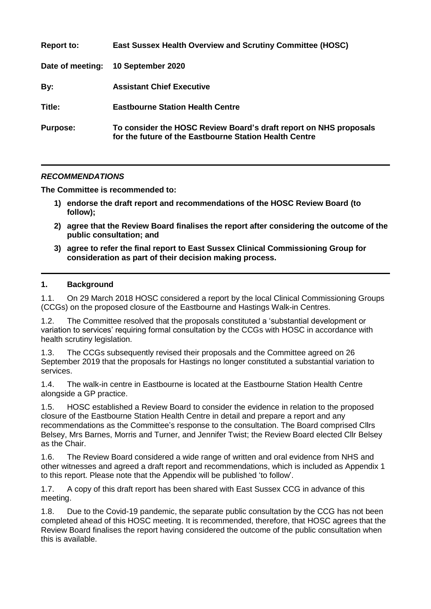| <b>Report to:</b> | <b>East Sussex Health Overview and Scrutiny Committee (HOSC)</b>                                                            |
|-------------------|-----------------------------------------------------------------------------------------------------------------------------|
| Date of meeting:  | 10 September 2020                                                                                                           |
| By:               | <b>Assistant Chief Executive</b>                                                                                            |
| Title:            | <b>Eastbourne Station Health Centre</b>                                                                                     |
| <b>Purpose:</b>   | To consider the HOSC Review Board's draft report on NHS proposals<br>for the future of the Eastbourne Station Health Centre |

## *RECOMMENDATIONS*

**The Committee is recommended to:**

- **1) endorse the draft report and recommendations of the HOSC Review Board (to follow);**
- **2) agree that the Review Board finalises the report after considering the outcome of the public consultation; and**
- **3) agree to refer the final report to East Sussex Clinical Commissioning Group for consideration as part of their decision making process.**

## **1. Background**

1.1. On 29 March 2018 HOSC considered a report by the local Clinical Commissioning Groups (CCGs) on the proposed closure of the Eastbourne and Hastings Walk-in Centres.

1.2. The Committee resolved that the proposals constituted a 'substantial development or variation to services' requiring formal consultation by the CCGs with HOSC in accordance with health scrutiny legislation.

1.3. The CCGs subsequently revised their proposals and the Committee agreed on 26 September 2019 that the proposals for Hastings no longer constituted a substantial variation to services.

1.4. The walk-in centre in Eastbourne is located at the Eastbourne Station Health Centre alongside a GP practice.

1.5. HOSC established a Review Board to consider the evidence in relation to the proposed closure of the Eastbourne Station Health Centre in detail and prepare a report and any recommendations as the Committee's response to the consultation. The Board comprised Cllrs Belsey, Mrs Barnes, Morris and Turner, and Jennifer Twist; the Review Board elected Cllr Belsey as the Chair.

1.6. The Review Board considered a wide range of written and oral evidence from NHS and other witnesses and agreed a draft report and recommendations, which is included as Appendix 1 to this report. Please note that the Appendix will be published 'to follow'.

1.7. A copy of this draft report has been shared with East Sussex CCG in advance of this meeting.

1.8. Due to the Covid-19 pandemic, the separate public consultation by the CCG has not been completed ahead of this HOSC meeting. It is recommended, therefore, that HOSC agrees that the Review Board finalises the report having considered the outcome of the public consultation when this is available.